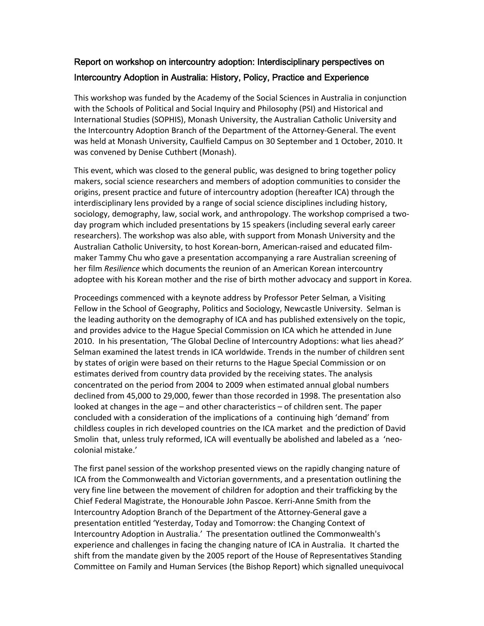## Report on workshop on intercountry adoption: Interdisciplinary perspectives on Intercountry Adoption in Australia: History, Policy, Practice and Experience

This workshop was funded by the Academy of the Social Sciences in Australia in conjunction with the Schools of Political and Social Inquiry and Philosophy (PSI) and Historical and International Studies (SOPHIS), Monash University, the Australian Catholic University and the Intercountry Adoption Branch of the Department of the Attorney‐General. The event was held at Monash University, Caulfield Campus on 30 September and 1 October, 2010. It was convened by Denise Cuthbert (Monash).

This event, which was closed to the general public, was designed to bring together policy makers, social science researchers and members of adoption communities to consider the origins, present practice and future of intercountry adoption (hereafter ICA) through the interdisciplinary lens provided by a range of social science disciplines including history, sociology, demography, law, social work, and anthropology. The workshop comprised a twoday program which included presentations by 15 speakers (including several early career researchers). The workshop was also able, with support from Monash University and the Australian Catholic University, to host Korean‐born, American‐raised and educated film‐ maker Tammy Chu who gave a presentation accompanying a rare Australian screening of her film *Resilience* which documents the reunion of an American Korean intercountry adoptee with his Korean mother and the rise of birth mother advocacy and support in Korea.

Proceedings commenced with a keynote address by Professor Peter Selman*,* a Visiting Fellow in the School of Geography, Politics and Sociology, Newcastle University. Selman is the leading authority on the demography of ICA and has published extensively on the topic, and provides advice to the Hague Special Commission on ICA which he attended in June 2010. In his presentation, 'The Global Decline of Intercountry Adoptions: what lies ahead?' Selman examined the latest trends in ICA worldwide. Trends in the number of children sent by states of origin were based on their returns to the Hague Special Commission or on estimates derived from country data provided by the receiving states. The analysis concentrated on the period from 2004 to 2009 when estimated annual global numbers declined from 45,000 to 29,000, fewer than those recorded in 1998. The presentation also looked at changes in the age – and other characteristics – of children sent. The paper concluded with a consideration of the implications of a continuing high 'demand' from childless couples in rich developed countries on the ICA market and the prediction of David Smolin that, unless truly reformed, ICA will eventually be abolished and labeled as a 'neocolonial mistake.'

The first panel session of the workshop presented views on the rapidly changing nature of ICA from the Commonwealth and Victorian governments, and a presentation outlining the very fine line between the movement of children for adoption and their trafficking by the Chief Federal Magistrate, the Honourable John Pascoe. Kerri‐Anne Smith from the Intercountry Adoption Branch of the Department of the Attorney‐General gave a presentation entitled 'Yesterday, Today and Tomorrow: the Changing Context of Intercountry Adoption in Australia.' The presentation outlined the Commonwealth's experience and challenges in facing the changing nature of ICA in Australia. It charted the shift from the mandate given by the 2005 report of the House of Representatives Standing Committee on Family and Human Services (the Bishop Report) which signalled unequivocal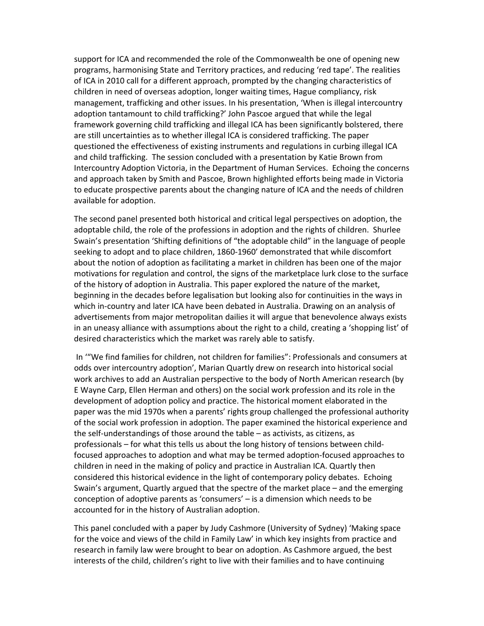support for ICA and recommended the role of the Commonwealth be one of opening new programs, harmonising State and Territory practices, and reducing 'red tape'. The realities of ICA in 2010 call for a different approach, prompted by the changing characteristics of children in need of overseas adoption, longer waiting times, Hague compliancy, risk management, trafficking and other issues. In his presentation, 'When is illegal intercountry adoption tantamount to child trafficking?' John Pascoe argued that while the legal framework governing child trafficking and illegal ICA has been significantly bolstered, there are still uncertainties as to whether illegal ICA is considered trafficking. The paper questioned the effectiveness of existing instruments and regulations in curbing illegal ICA and child trafficking. The session concluded with a presentation by Katie Brown from Intercountry Adoption Victoria, in the Department of Human Services. Echoing the concerns and approach taken by Smith and Pascoe, Brown highlighted efforts being made in Victoria to educate prospective parents about the changing nature of ICA and the needs of children available for adoption.

The second panel presented both historical and critical legal perspectives on adoption, the adoptable child, the role of the professions in adoption and the rights of children. Shurlee Swain's presentation 'Shifting definitions of "the adoptable child" in the language of people seeking to adopt and to place children, 1860‐1960' demonstrated that while discomfort about the notion of adoption as facilitating a market in children has been one of the major motivations for regulation and control, the signs of the marketplace lurk close to the surface of the history of adoption in Australia. This paper explored the nature of the market, beginning in the decades before legalisation but looking also for continuities in the ways in which in‐country and later ICA have been debated in Australia. Drawing on an analysis of advertisements from major metropolitan dailies it will argue that benevolence always exists in an uneasy alliance with assumptions about the right to a child, creating a 'shopping list' of desired characteristics which the market was rarely able to satisfy.

In '"We find families for children, not children for families": Professionals and consumers at odds over intercountry adoption', Marian Quartly drew on research into historical social work archives to add an Australian perspective to the body of North American research (by E Wayne Carp, Ellen Herman and others) on the social work profession and its role in the development of adoption policy and practice. The historical moment elaborated in the paper was the mid 1970s when a parents' rights group challenged the professional authority of the social work profession in adoption. The paper examined the historical experience and the self‐understandings of those around the table – as activists, as citizens, as professionals – for what this tells us about the long history of tensions between child‐ focused approaches to adoption and what may be termed adoption‐focused approaches to children in need in the making of policy and practice in Australian ICA. Quartly then considered this historical evidence in the light of contemporary policy debates. Echoing Swain's argument, Quartly argued that the spectre of the market place – and the emerging conception of adoptive parents as 'consumers' – is a dimension which needs to be accounted for in the history of Australian adoption.

This panel concluded with a paper by Judy Cashmore (University of Sydney) 'Making space for the voice and views of the child in Family Law' in which key insights from practice and research in family law were brought to bear on adoption. As Cashmore argued, the best interests of the child, children's right to live with their families and to have continuing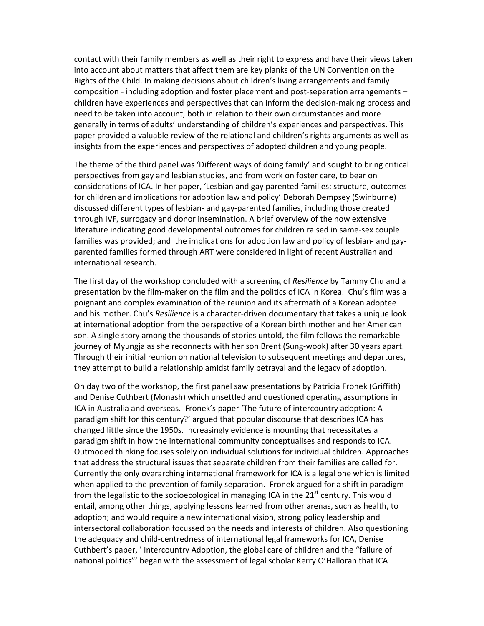contact with their family members as well as their right to express and have their views taken into account about matters that affect them are key planks of the UN Convention on the Rights of the Child. In making decisions about children's living arrangements and family composition ‐ including adoption and foster placement and post‐separation arrangements – children have experiences and perspectives that can inform the decision‐making process and need to be taken into account, both in relation to their own circumstances and more generally in terms of adults' understanding of children's experiences and perspectives. This paper provided a valuable review of the relational and children's rights arguments as well as insights from the experiences and perspectives of adopted children and young people.

The theme of the third panel was 'Different ways of doing family' and sought to bring critical perspectives from gay and lesbian studies, and from work on foster care, to bear on considerations of ICA. In her paper, 'Lesbian and gay parented families: structure, outcomes for children and implications for adoption law and policy' Deborah Dempsey (Swinburne) discussed different types of lesbian‐ and gay‐parented families, including those created through IVF, surrogacy and donor insemination. A brief overview of the now extensive literature indicating good developmental outcomes for children raised in same‐sex couple families was provided; and the implications for adoption law and policy of lesbian- and gayparented families formed through ART were considered in light of recent Australian and international research.

The first day of the workshop concluded with a screening of *Resilience* by Tammy Chu and a presentation by the film‐maker on the film and the politics of ICA in Korea. Chu's film was a poignant and complex examination of the reunion and its aftermath of a Korean adoptee and his mother. Chu's *Resilience* is a character‐driven documentary that takes a unique look at international adoption from the perspective of a Korean birth mother and her American son. A single story among the thousands of stories untold, the film follows the remarkable journey of Myungja as she reconnects with her son Brent (Sung‐wook) after 30 years apart. Through their initial reunion on national television to subsequent meetings and departures, they attempt to build a relationship amidst family betrayal and the legacy of adoption.

On day two of the workshop, the first panel saw presentations by Patricia Fronek (Griffith) and Denise Cuthbert (Monash) which unsettled and questioned operating assumptions in ICA in Australia and overseas. Fronek's paper 'The future of intercountry adoption: A paradigm shift for this century?' argued that popular discourse that describes ICA has changed little since the 1950s. Increasingly evidence is mounting that necessitates a paradigm shift in how the international community conceptualises and responds to ICA. Outmoded thinking focuses solely on individual solutions for individual children. Approaches that address the structural issues that separate children from their families are called for. Currently the only overarching international framework for ICA is a legal one which is limited when applied to the prevention of family separation. Fronek argued for a shift in paradigm from the legalistic to the socioecological in managing ICA in the  $21<sup>st</sup>$  century. This would entail, among other things, applying lessons learned from other arenas, such as health, to adoption; and would require a new international vision, strong policy leadership and intersectoral collaboration focussed on the needs and interests of children. Also questioning the adequacy and child‐centredness of international legal frameworks for ICA, Denise Cuthbert's paper, ' Intercountry Adoption, the global care of children and the "failure of national politics"' began with the assessment of legal scholar Kerry O'Halloran that ICA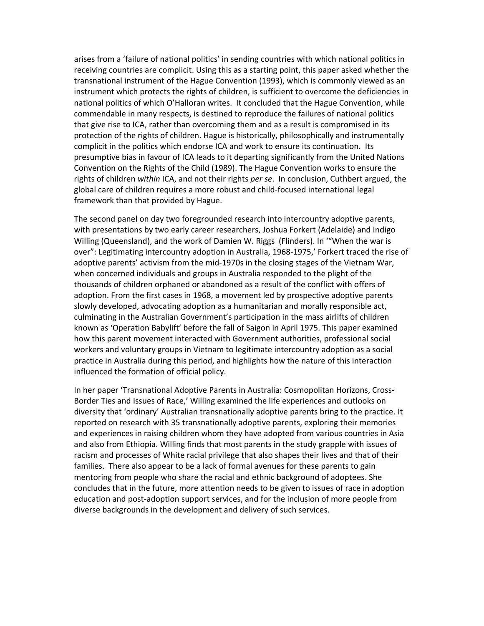arises from a 'failure of national politics' in sending countries with which national politics in receiving countries are complicit. Using this as a starting point, this paper asked whether the transnational instrument of the Hague Convention (1993), which is commonly viewed as an instrument which protects the rights of children, is sufficient to overcome the deficiencies in national politics of which O'Halloran writes. It concluded that the Hague Convention, while commendable in many respects, is destined to reproduce the failures of national politics that give rise to ICA, rather than overcoming them and as a result is compromised in its protection of the rights of children. Hague is historically, philosophically and instrumentally complicit in the politics which endorse ICA and work to ensure its continuation. Its presumptive bias in favour of ICA leads to it departing significantly from the United Nations Convention on the Rights of the Child (1989). The Hague Convention works to ensure the rights of children *within* ICA, and not their rights *per se*. In conclusion, Cuthbert argued, the global care of children requires a more robust and child‐focused international legal framework than that provided by Hague.

The second panel on day two foregrounded research into intercountry adoptive parents, with presentations by two early career researchers, Joshua Forkert (Adelaide) and Indigo Willing (Queensland), and the work of Damien W. Riggs (Flinders). In '"When the war is over": Legitimating intercountry adoption in Australia, 1968‐1975,' Forkert traced the rise of adoptive parents' activism from the mid‐1970s in the closing stages of the Vietnam War, when concerned individuals and groups in Australia responded to the plight of the thousands of children orphaned or abandoned as a result of the conflict with offers of adoption. From the first cases in 1968, a movement led by prospective adoptive parents slowly developed, advocating adoption as a humanitarian and morally responsible act, culminating in the Australian Government's participation in the mass airlifts of children known as 'Operation Babylift' before the fall of Saigon in April 1975. This paper examined how this parent movement interacted with Government authorities, professional social workers and voluntary groups in Vietnam to legitimate intercountry adoption as a social practice in Australia during this period, and highlights how the nature of this interaction influenced the formation of official policy.

In her paper 'Transnational Adoptive Parents in Australia: Cosmopolitan Horizons, Cross‐ Border Ties and Issues of Race,' Willing examined the life experiences and outlooks on diversity that 'ordinary' Australian transnationally adoptive parents bring to the practice. It reported on research with 35 transnationally adoptive parents, exploring their memories and experiences in raising children whom they have adopted from various countries in Asia and also from Ethiopia. Willing finds that most parents in the study grapple with issues of racism and processes of White racial privilege that also shapes their lives and that of their families. There also appear to be a lack of formal avenues for these parents to gain mentoring from people who share the racial and ethnic background of adoptees. She concludes that in the future, more attention needs to be given to issues of race in adoption education and post‐adoption support services, and for the inclusion of more people from diverse backgrounds in the development and delivery of such services.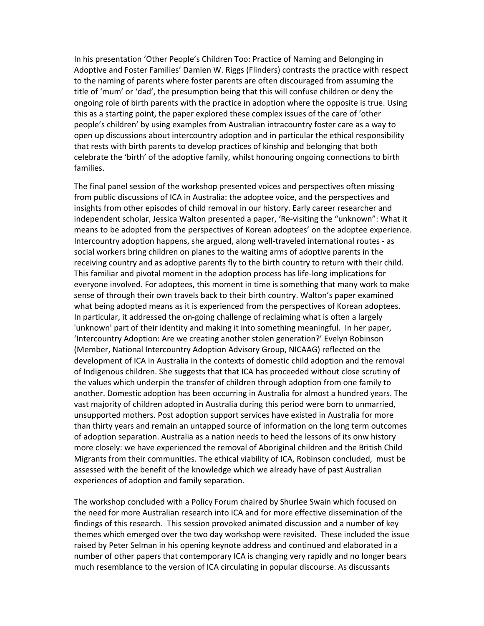In his presentation 'Other People's Children Too: Practice of Naming and Belonging in Adoptive and Foster Families' Damien W. Riggs (Flinders) contrasts the practice with respect to the naming of parents where foster parents are often discouraged from assuming the title of 'mum' or 'dad', the presumption being that this will confuse children or deny the ongoing role of birth parents with the practice in adoption where the opposite is true. Using this as a starting point, the paper explored these complex issues of the care of 'other people's children' by using examples from Australian intracountry foster care as a way to open up discussions about intercountry adoption and in particular the ethical responsibility that rests with birth parents to develop practices of kinship and belonging that both celebrate the 'birth' of the adoptive family, whilst honouring ongoing connections to birth families.

The final panel session of the workshop presented voices and perspectives often missing from public discussions of ICA in Australia: the adoptee voice, and the perspectives and insights from other episodes of child removal in our history. Early career researcher and independent scholar, Jessica Walton presented a paper, 'Re‐visiting the "unknown": What it means to be adopted from the perspectives of Korean adoptees' on the adoptee experience. Intercountry adoption happens, she argued, along well-traveled international routes - as social workers bring children on planes to the waiting arms of adoptive parents in the receiving country and as adoptive parents fly to the birth country to return with their child. This familiar and pivotal moment in the adoption process has life‐long implications for everyone involved. For adoptees, this moment in time is something that many work to make sense of through their own travels back to their birth country. Walton's paper examined what being adopted means as it is experienced from the perspectives of Korean adoptees. In particular, it addressed the on‐going challenge of reclaiming what is often a largely 'unknown' part of their identity and making it into something meaningful. In her paper, 'Intercountry Adoption: Are we creating another stolen generation?' Evelyn Robinson (Member, National Intercountry Adoption Advisory Group, NICAAG) reflected on the development of ICA in Australia in the contexts of domestic child adoption and the removal of Indigenous children. She suggests that that ICA has proceeded without close scrutiny of the values which underpin the transfer of children through adoption from one family to another. Domestic adoption has been occurring in Australia for almost a hundred years. The vast majority of children adopted in Australia during this period were born to unmarried, unsupported mothers. Post adoption support services have existed in Australia for more than thirty years and remain an untapped source of information on the long term outcomes of adoption separation. Australia as a nation needs to heed the lessons of its onw history more closely: we have experienced the removal of Aboriginal children and the British Child Migrants from their communities. The ethical viability of ICA, Robinson concluded, must be assessed with the benefit of the knowledge which we already have of past Australian experiences of adoption and family separation.

The workshop concluded with a Policy Forum chaired by Shurlee Swain which focused on the need for more Australian research into ICA and for more effective dissemination of the findings of this research. This session provoked animated discussion and a number of key themes which emerged over the two day workshop were revisited. These included the issue raised by Peter Selman in his opening keynote address and continued and elaborated in a number of other papers that contemporary ICA is changing very rapidly and no longer bears much resemblance to the version of ICA circulating in popular discourse. As discussants